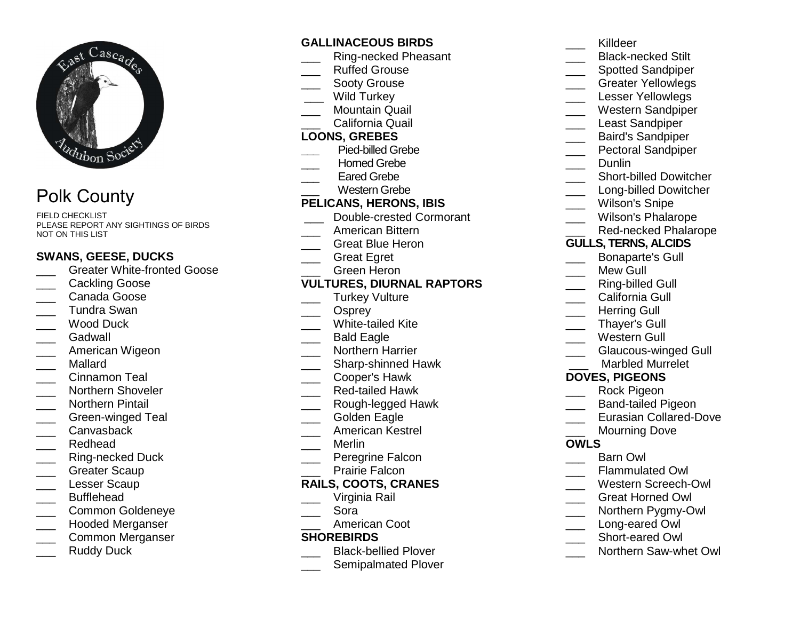

# Polk County

FIELD CHECKLIST PLEASE REPORT ANY SIGHTINGS OF BIRDS NOT ON THIS LIST

## **SWANS, GEESE, DUCKS**

- **Constant Constant Constant Constant** Goose
- \_\_\_ Cackling Goose
- \_\_\_ Canada Goose
- \_\_\_ Tundra Swan
- Wood Duck
- \_\_\_ Gadwall
- \_\_\_ American Wigeon
- \_\_\_ Mallard
- \_\_\_ Cinnamon Teal
- \_\_\_ Northern Shoveler
- \_\_\_ Northern Pintail
- \_\_\_ Green-winged Teal
- Canvasback
- \_\_\_ Redhead
- \_\_\_ Ring-necked Duck
- \_\_\_ Greater Scaup
- \_\_\_ Lesser Scaup
- \_\_\_ Bufflehead
- \_\_\_ Common Goldeneye
- \_\_\_ Hooded Merganser
- \_\_\_ Common Merganser
- Ruddy Duck

## **GALLINACEOUS BIRDS**

- \_\_\_ Ring-necked Pheasant
- Ruffed Grouse
- Sooty Grouse
- Wild Turkey
- \_\_\_ Mountain Quail
- \_\_\_ California Quail

## **LOONS, GREBES**

- **\_\_\_** Pied-billed Grebe
	- \_\_\_ Horned Grebe
- Eared Grebe
- \_\_\_ Western Grebe

## **PELICANS, HERONS, IBIS**

- \_\_\_ Double-crested Cormorant
- \_\_\_ American Bittern
- \_\_\_ Great Blue Heron
- \_\_\_ Great Egret
- \_\_\_ Green Heron

## **VULTURES, DIURNAL RAPTORS**

- Turkey Vulture
- Osprey
- \_\_\_ White-tailed Kite
- \_\_\_ Bald Eagle
- \_\_\_ Northern Harrier
- \_\_\_\_ Sharp-shinned Hawk
- \_\_\_ Cooper's Hawk
- \_\_\_ Red-tailed Hawk
- \_\_\_ Rough-legged Hawk
- Golden Eagle
- \_\_\_ American Kestrel
- \_\_\_ Merlin
- \_\_\_ Peregrine Falcon
- Prairie Falcon

#### **RAILS, COOTS, CRANES**

- Virginia Rail
- \_\_\_ Sora
- \_\_\_ American Coot

## **SHOREBIRDS**

- **\_\_\_\_** Black-bellied Plover
- \_\_\_\_ Semipalmated Plover
- \_\_\_ Killdeer \_\_\_\_ Black-necked Stilt \_\_\_\_ Spotted Sandpiper
- \_\_\_ Greater Yellowlegs
- Lesser Yellowlegs
- \_\_\_ Western Sandpiper
- Least Sandpiper
- \_\_\_ Baird's Sandpiper
- **EXECTED** Pectoral Sandpiper
	- \_\_\_ Dunlin
- **\_\_\_\_** Short-billed Dowitcher
- Long-billed Dowitcher
- Wilson's Snipe
- \_\_\_ Wilson's Phalarope
- \_\_\_ Red-necked Phalarope
- **GULLS, TERNS, ALCIDS**
- \_\_\_ Bonaparte's Gull
- Mew Gull
- \_\_\_ Ring-billed Gull
- California Gull
- Herring Gull
- \_\_\_ Thayer's Gull
- \_\_\_ Western Gull
- \_\_\_ Glaucous-winged Gull
	- \_\_\_ Marbled Murrelet

## **DOVES, PIGEONS**

- \_\_\_ Rock Pigeon
- \_\_\_ Band-tailed Pigeon
- **Lacker Eurasian Collared-Dove**
- Mourning Dove

#### **OWLS**

- \_\_\_ Barn Owl
- \_\_\_ Flammulated Owl

\_\_\_ Short-eared Owl

- \_\_\_ Western Screech-Owl
- \_\_\_ Great Horned Owl
- \_\_\_ Northern Pygmy-Owl Long-eared Owl

\_\_\_ Northern Saw-whet Owl